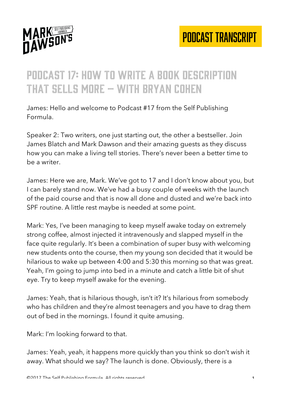

## Podcast 17: how to write a book description that sells more – with bryan cohen

James: Hello and welcome to Podcast #17 from the Self Publishing Formula.

Speaker 2: Two writers, one just starting out, the other a bestseller. Join James Blatch and Mark Dawson and their amazing guests as they discuss how you can make a living tell stories. There's never been a better time to be a writer.

James: Here we are, Mark. We've got to 17 and I don't know about you, but I can barely stand now. We've had a busy couple of weeks with the launch of the paid course and that is now all done and dusted and we're back into SPF routine. A little rest maybe is needed at some point.

Mark: Yes, I've been managing to keep myself awake today on extremely strong coffee, almost injected it intravenously and slapped myself in the face quite regularly. It's been a combination of super busy with welcoming new students onto the course, then my young son decided that it would be hilarious to wake up between 4:00 and 5:30 this morning so that was great. Yeah, I'm going to jump into bed in a minute and catch a little bit of shut eye. Try to keep myself awake for the evening.

James: Yeah, that is hilarious though, isn't it? It's hilarious from somebody who has children and they're almost teenagers and you have to drag them out of bed in the mornings. I found it quite amusing.

Mark: I'm looking forward to that.

James: Yeah, yeah, it happens more quickly than you think so don't wish it away. What should we say? The launch is done. Obviously, there is a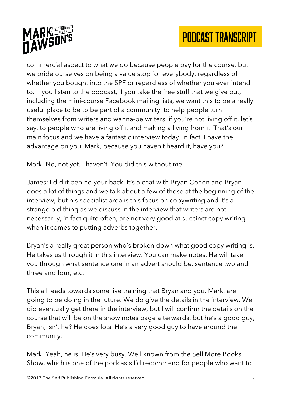



commercial aspect to what we do because people pay for the course, but we pride ourselves on being a value stop for everybody, regardless of whether you bought into the SPF or regardless of whether you ever intend to. If you listen to the podcast, if you take the free stuff that we give out, including the mini-course Facebook mailing lists, we want this to be a really useful place to be to be part of a community, to help people turn themselves from writers and wanna-be writers, if you're not living off it, let's say, to people who are living off it and making a living from it. That's our main focus and we have a fantastic interview today. In fact, I have the advantage on you, Mark, because you haven't heard it, have you?

Mark: No, not yet. I haven't. You did this without me.

James: I did it behind your back. It's a chat with Bryan Cohen and Bryan does a lot of things and we talk about a few of those at the beginning of the interview, but his specialist area is this focus on copywriting and it's a strange old thing as we discuss in the interview that writers are not necessarily, in fact quite often, are not very good at succinct copy writing when it comes to putting adverbs together.

Bryan's a really great person who's broken down what good copy writing is. He takes us through it in this interview. You can make notes. He will take you through what sentence one in an advert should be, sentence two and three and four, etc.

This all leads towards some live training that Bryan and you, Mark, are going to be doing in the future. We do give the details in the interview. We did eventually get there in the interview, but I will confirm the details on the course that will be on the show notes page afterwards, but he's a good guy, Bryan, isn't he? He does lots. He's a very good guy to have around the community.

Mark: Yeah, he is. He's very busy. Well known from the Sell More Books Show, which is one of the podcasts I'd recommend for people who want to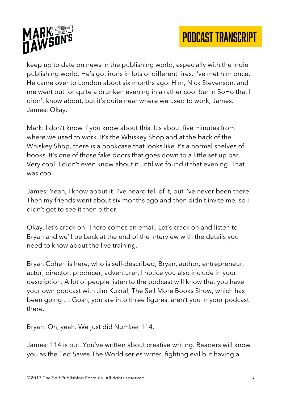

keep up to date on news in the publishing world, especially with the indie publishing world. He's got irons in lots of different fires. I've met him once. He came over to London about six months ago. Him, Nick Stevenson, and me went out for quite a drunken evening in a rather cool bar in SoHo that I didn't know about, but it's quite near where we used to work, James. James: Okay.

Mark: I don't know if you know about this. It's about five minutes from where we used to work. It's the Whiskey Shop and at the back of the Whiskey Shop, there is a bookcase that looks like it's a normal shelves of books. It's one of those fake doors that goes down to a little set up bar. Very cool. I didn't even know about it until we found it that evening. That was cool.

James: Yeah, I know about it. I've heard tell of it, but I've never been there. Then my friends went about six months ago and then didn't invite me, so I didn't get to see it then either.

Okay, let's crack on. There comes an email. Let's crack on and listen to Bryan and we'll be back at the end of the interview with the details you need to know about the live training.

Bryan Cohen is here, who is self-described, Bryan, author, entrepreneur, actor, director, producer, adventurer, I notice you also include in your description. A lot of people listen to the podcast will know that you have your own podcast with Jim Kukral, The Sell More Books Show, which has been going … Gosh, you are into three figures, aren't you in your podcast there.

Bryan: Oh, yeah. We just did Number 114.

James: 114 is out. You've written about creative writing. Readers will know you as the Ted Saves The World series writer, fighting evil but having a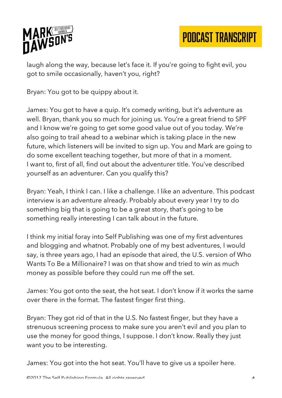

laugh along the way, because let's face it. If you're going to fight evil, you got to smile occasionally, haven't you, right?

Bryan: You got to be quippy about it.

James: You got to have a quip. It's comedy writing, but it's adventure as well. Bryan, thank you so much for joining us. You're a great friend to SPF and I know we're going to get some good value out of you today. We're also going to trail ahead to a webinar which is taking place in the new future, which listeners will be invited to sign up. You and Mark are going to do some excellent teaching together, but more of that in a moment. I want to, first of all, find out about the adventurer title. You've described yourself as an adventurer. Can you qualify this?

Bryan: Yeah, I think I can. I like a challenge. I like an adventure. This podcast interview is an adventure already. Probably about every year I try to do something big that is going to be a great story, that's going to be something really interesting I can talk about in the future.

I think my initial foray into Self Publishing was one of my first adventures and blogging and whatnot. Probably one of my best adventures, I would say, is three years ago, I had an episode that aired, the U.S. version of Who Wants To Be a Millionaire? I was on that show and tried to win as much money as possible before they could run me off the set.

James: You got onto the seat, the hot seat. I don't know if it works the same over there in the format. The fastest finger first thing.

Bryan: They got rid of that in the U.S. No fastest finger, but they have a strenuous screening process to make sure you aren't evil and you plan to use the money for good things, I suppose. I don't know. Really they just want you to be interesting.

James: You got into the hot seat. You'll have to give us a spoiler here.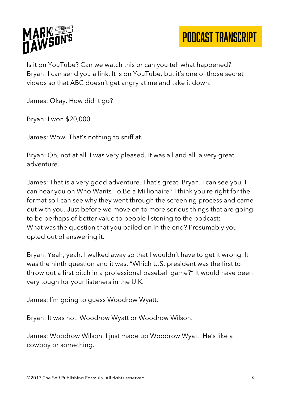

Is it on YouTube? Can we watch this or can you tell what happened? Bryan: I can send you a link. It is on YouTube, but it's one of those secret videos so that ABC doesn't get angry at me and take it down.

James: Okay. How did it go?

Bryan: I won \$20,000.

James: Wow. That's nothing to sniff at.

Bryan: Oh, not at all. I was very pleased. It was all and all, a very great adventure.

James: That is a very good adventure. That's great, Bryan. I can see you, I can hear you on Who Wants To Be a Millionaire? I think you're right for the format so I can see why they went through the screening process and came out with you. Just before we move on to more serious things that are going to be perhaps of better value to people listening to the podcast: What was the question that you bailed on in the end? Presumably you opted out of answering it.

Bryan: Yeah, yeah. I walked away so that I wouldn't have to get it wrong. It was the ninth question and it was, "Which U.S. president was the first to throw out a first pitch in a professional baseball game?" It would have been very tough for your listeners in the U.K.

James: I'm going to guess Woodrow Wyatt.

Bryan: It was not. Woodrow Wyatt or Woodrow Wilson.

James: Woodrow Wilson. I just made up Woodrow Wyatt. He's like a cowboy or something.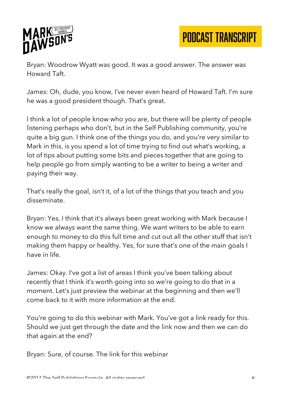

Bryan: Woodrow Wyatt was good. It was a good answer. The answer was Howard Taft.

James: Oh, dude, you know, I've never even heard of Howard Taft. I'm sure he was a good president though. That's great.

I think a lot of people know who you are, but there will be plenty of people listening perhaps who don't, but in the Self Publishing community, you're quite a big gun. I think one of the things you do, and you're very similar to Mark in this, is you spend a lot of time trying to find out what's working, a lot of tips about putting some bits and pieces together that are going to help people go from simply wanting to be a writer to being a writer and paying their way.

That's really the goal, isn't it, of a lot of the things that you teach and you disseminate.

Bryan: Yes, I think that it's always been great working with Mark because I know we always want the same thing. We want writers to be able to earn enough to money to do this full time and cut out all the other stuff that isn't making them happy or healthy. Yes, for sure that's one of the main goals I have in life.

James: Okay. I've got a list of areas I think you've been talking about recently that I think it's worth going into so we're going to do that in a moment. Let's just preview the webinar at the beginning and then we'll come back to it with more information at the end.

You're going to do this webinar with Mark. You've got a link ready for this. Should we just get through the date and the link now and then we can do that again at the end?

Bryan: Sure, of course. The link for this webinar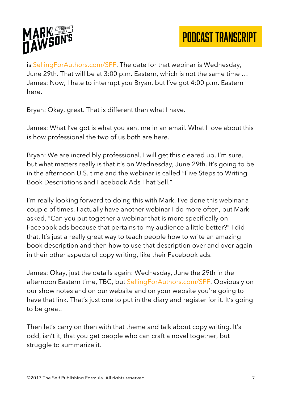

is SellingForAuthors.com/SPF. The date for that webinar is Wednesday, June 29th. That will be at 3:00 p.m. Eastern, which is not the same time … James: Now, I hate to interrupt you Bryan, but I've got 4:00 p.m. Eastern here.

Bryan: Okay, great. That is different than what I have.

James: What I've got is what you sent me in an email. What I love about this is how professional the two of us both are here.

Bryan: We are incredibly professional. I will get this cleared up, I'm sure, but what matters really is that it's on Wednesday, June 29th. It's going to be in the afternoon U.S. time and the webinar is called "Five Steps to Writing Book Descriptions and Facebook Ads That Sell."

I'm really looking forward to doing this with Mark. I've done this webinar a couple of times. I actually have another webinar I do more often, but Mark asked, "Can you put together a webinar that is more specifically on Facebook ads because that pertains to my audience a little better?" I did that. It's just a really great way to teach people how to write an amazing book description and then how to use that description over and over again in their other aspects of copy writing, like their Facebook ads.

James: Okay, just the details again: Wednesday, June the 29th in the afternoon Eastern time, TBC, but SellingForAuthors.com/SPF. Obviously on our show notes and on our website and on your website you're going to have that link. That's just one to put in the diary and register for it. It's going to be great.

Then let's carry on then with that theme and talk about copy writing. It's odd, isn't it, that you get people who can craft a novel together, but struggle to summarize it.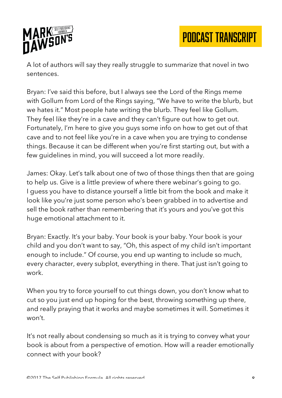

A lot of authors will say they really struggle to summarize that novel in two sentences.

Bryan: I've said this before, but I always see the Lord of the Rings meme with Gollum from Lord of the Rings saying, "We have to write the blurb, but we hates it." Most people hate writing the blurb. They feel like Gollum. They feel like they're in a cave and they can't figure out how to get out. Fortunately, I'm here to give you guys some info on how to get out of that cave and to not feel like you're in a cave when you are trying to condense things. Because it can be different when you're first starting out, but with a few guidelines in mind, you will succeed a lot more readily.

James: Okay. Let's talk about one of two of those things then that are going to help us. Give is a little preview of where there webinar's going to go. I guess you have to distance yourself a little bit from the book and make it look like you're just some person who's been grabbed in to advertise and sell the book rather than remembering that it's yours and you've got this huge emotional attachment to it.

Bryan: Exactly. It's your baby. Your book is your baby. Your book is your child and you don't want to say, "Oh, this aspect of my child isn't important enough to include." Of course, you end up wanting to include so much, every character, every subplot, everything in there. That just isn't going to work.

When you try to force yourself to cut things down, you don't know what to cut so you just end up hoping for the best, throwing something up there, and really praying that it works and maybe sometimes it will. Sometimes it won't.

It's not really about condensing so much as it is trying to convey what your book is about from a perspective of emotion. How will a reader emotionally connect with your book?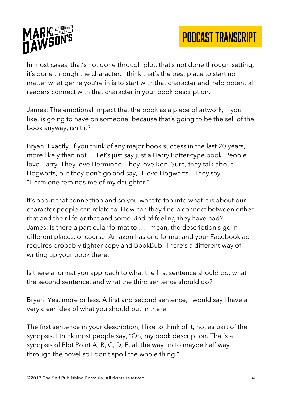



In most cases, that's not done through plot, that's not done through setting, it's done through the character. I think that's the best place to start no matter what genre you're in is to start with that character and help potential readers connect with that character in your book description.

James: The emotional impact that the book as a piece of artwork, if you like, is going to have on someone, because that's going to be the sell of the book anyway, isn't it?

Bryan: Exactly. If you think of any major book success in the last 20 years, more likely than not … Let's just say just a Harry Potter-type book. People love Harry. They love Hermione. They love Ron. Sure, they talk about Hogwarts, but they don't go and say, "I love Hogwarts." They say, "Hermione reminds me of my daughter."

It's about that connection and so you want to tap into what it is about our character people can relate to. How can they find a connect between either that and their life or that and some kind of feeling they have had? James: Is there a particular format to … I mean, the description's go in different places, of course. Amazon has one format and your Facebook ad requires probably tighter copy and BookBub. There's a different way of writing up your book there.

Is there a format you approach to what the first sentence should do, what the second sentence, and what the third sentence should do?

Bryan: Yes, more or less. A first and second sentence, I would say I have a very clear idea of what you should put in there.

The first sentence in your description, I like to think of it, not as part of the synopsis. I think most people say, "Oh, my book description. That's a synopsis of Plot Point A, B, C, D, E, all the way up to maybe half way through the novel so I don't spoil the whole thing."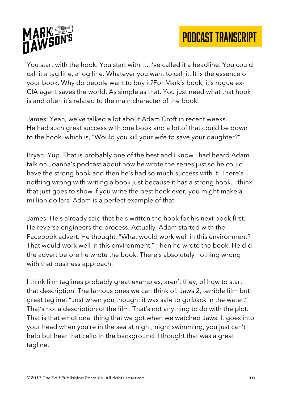



You start with the hook. You start with … I've called it a headline. You could call it a tag line, a log line. Whatever you want to call it. It is the essence of your book. Why do people want to buy it?For Mark's book, it's rogue ex-CIA agent saves the world. As simple as that. You just need what that hook is and often it's related to the main character of the book.

James: Yeah, we've talked a lot about Adam Croft in recent weeks. He had such great success with one book and a lot of that could be down to the hook, which is, "Would you kill your wife to save your daughter?"

Bryan: Yup. That is probably one of the best and I know I had heard Adam talk on Joanna's podcast about how he wrote the series just so he could have the strong hook and then he's had so much success with it. There's nothing wrong with writing a book just because it has a strong hook. I think that just goes to show if you write the best hook ever, you might make a million dollars. Adam is a perfect example of that.

James: He's already said that he's written the hook for his next book first. He reverse engineers the process. Actually, Adam started with the Facebook advert. He thought, "What would work well in this environment? That would work well in this environment." Then he wrote the book. He did the advert before he wrote the book. There's absolutely nothing wrong with that business approach.

I think film taglines probably great examples, aren't they, of how to start that description. The famous ones we can think of. Jaws 2, terrible film but great tagline: "Just when you thought it was safe to go back in the water." That's not a description of the film. That's not anything to do with the plot. That is that emotional thing that we got when we watched Jaws. It goes into your head when you're in the sea at night, night swimming, you just can't help but hear that cello in the background. I thought that was a great tagline.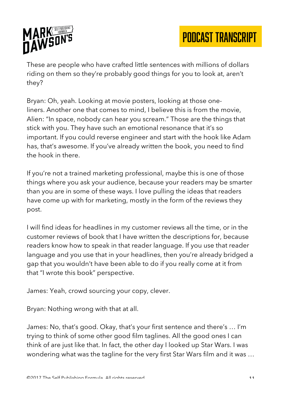

These are people who have crafted little sentences with millions of dollars riding on them so they're probably good things for you to look at, aren't they?

Bryan: Oh, yeah. Looking at movie posters, looking at those oneliners. Another one that comes to mind, I believe this is from the movie, Alien: "In space, nobody can hear you scream." Those are the things that stick with you. They have such an emotional resonance that it's so important. If you could reverse engineer and start with the hook like Adam has, that's awesome. If you've already written the book, you need to find the hook in there.

If you're not a trained marketing professional, maybe this is one of those things where you ask your audience, because your readers may be smarter than you are in some of these ways. I love pulling the ideas that readers have come up with for marketing, mostly in the form of the reviews they post.

I will find ideas for headlines in my customer reviews all the time, or in the customer reviews of book that I have written the descriptions for, because readers know how to speak in that reader language. If you use that reader language and you use that in your headlines, then you're already bridged a gap that you wouldn't have been able to do if you really come at it from that "I wrote this book" perspective.

James: Yeah, crowd sourcing your copy, clever.

Bryan: Nothing wrong with that at all.

James: No, that's good. Okay, that's your first sentence and there's … I'm trying to think of some other good film taglines. All the good ones I can think of are just like that. In fact, the other day I looked up Star Wars. I was wondering what was the tagline for the very first Star Wars film and it was …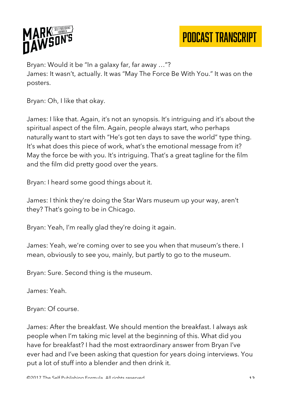

Bryan: Would it be "In a galaxy far, far away …"?

James: It wasn't, actually. It was "May The Force Be With You." It was on the posters.

Bryan: Oh, I like that okay.

James: I like that. Again, it's not an synopsis. It's intriguing and it's about the spiritual aspect of the film. Again, people always start, who perhaps naturally want to start with "He's got ten days to save the world" type thing. It's what does this piece of work, what's the emotional message from it? May the force be with you. It's intriguing. That's a great tagline for the film and the film did pretty good over the years.

Bryan: I heard some good things about it.

James: I think they're doing the Star Wars museum up your way, aren't they? That's going to be in Chicago.

Bryan: Yeah, I'm really glad they're doing it again.

James: Yeah, we're coming over to see you when that museum's there. I mean, obviously to see you, mainly, but partly to go to the museum.

Bryan: Sure. Second thing is the museum.

James: Yeah.

Bryan: Of course.

James: After the breakfast. We should mention the breakfast. I always ask people when I'm taking mic level at the beginning of this. What did you have for breakfast? I had the most extraordinary answer from Bryan I've ever had and I've been asking that question for years doing interviews. You put a lot of stuff into a blender and then drink it.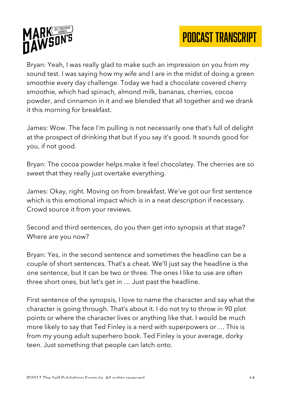



Bryan: Yeah, I was really glad to make such an impression on you from my sound test. I was saying how my wife and I are in the midst of doing a green smoothie every day challenge. Today we had a chocolate covered cherry smoothie, which had spinach, almond milk, bananas, cherries, cocoa powder, and cinnamon in it and we blended that all together and we drank it this morning for breakfast.

James: Wow. The face I'm pulling is not necessarily one that's full of delight at the prospect of drinking that but if you say it's good. It sounds good for you, if not good.

Bryan: The cocoa powder helps make it feel chocolatey. The cherries are so sweet that they really just overtake everything.

James: Okay, right. Moving on from breakfast. We've got our first sentence which is this emotional impact which is in a neat description if necessary. Crowd source it from your reviews.

Second and third sentences, do you then get into synopsis at that stage? Where are you now?

Bryan: Yes, in the second sentence and sometimes the headline can be a couple of short sentences. That's a cheat. We'll just say the headline is the one sentence, but it can be two or three. The ones I like to use are often three short ones, but let's get in … Just past the headline.

First sentence of the synopsis, I love to name the character and say what the character is going through. That's about it. I do not try to throw in 90 plot points or where the character lives or anything like that. I would be much more likely to say that Ted Finley is a nerd with superpowers or … This is from my young adult superhero book. Ted Finley is your average, dorky teen. Just something that people can latch onto.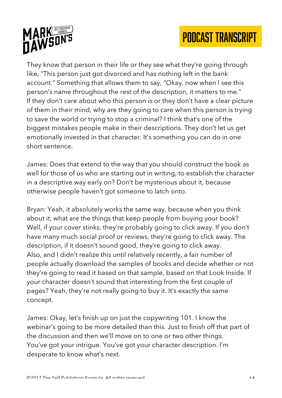



They know that person in their life or they see what they're going through like, "This person just got divorced and has nothing left in the bank account." Something that allows them to say, "Okay, now when I see this person's name throughout the rest of the description, it matters to me." If they don't care about who this person is or they don't have a clear picture of them in their mind, why are they going to care when this person is trying to save the world or trying to stop a criminal? I think that's one of the biggest mistakes people make in their descriptions. They don't let us get emotionally invested in that character. It's something you can do in one short sentence.

James: Does that extend to the way that you should construct the book as well for those of us who are starting out in writing, to establish the character in a descriptive way early on? Don't be mysterious about it, because otherwise people haven't got someone to latch onto.

Bryan: Yeah, it absolutely works the same way, because when you think about it, what are the things that keep people from buying your book? Well, if your cover stinks, they're probably going to click away. If you don't have many much social proof or reviews, they're going to click away. The description, if it doesn't sound good, they're going to click away. Also, and I didn't realize this until relatively recently, a fair number of people actually download the samples of books and decide whether or not they're going to read it based on that sample, based on that Look Inside. If your character doesn't sound that interesting from the first couple of pages? Yeah, they're not really going to buy it. It's exactly the same concept.

James: Okay, let's finish up on just the copywriting 101. I know the webinar's going to be more detailed than this. Just to finish off that part of the discussion and then we'll move on to one or two other things. You've got your intrigue. You've got your character description. I'm desperate to know what's next.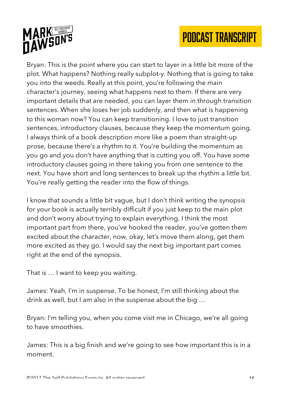

Bryan: This is the point where you can start to layer in a little bit more of the plot. What happens? Nothing really subplot-y. Nothing that is going to take you into the weeds. Really at this point, you're following the main character's journey, seeing what happens next to them. If there are very important details that are needed, you can layer them in through transition sentences. When she loses her job suddenly, and then what is happening to this woman now? You can keep transitioning. I love to just transition sentences, introductory clauses, because they keep the momentum going. I always think of a book description more like a poem than straight-up prose, because there's a rhythm to it. You're building the momentum as you go and you don't have anything that is cutting you off. You have some introductory clauses going in there taking you from one sentence to the next. You have short and long sentences to break up the rhythm a little bit. You're really getting the reader into the flow of things.

I know that sounds a little bit vague, but I don't think writing the synopsis for your book is actually terribly difficult if you just keep to the main plot and don't worry about trying to explain everything. I think the most important part from there, you've hooked the reader, you've gotten them excited about the character, now, okay, let's move them along, get them more excited as they go. I would say the next big important part comes right at the end of the synopsis.

That is … I want to keep you waiting.

James: Yeah, I'm in suspense. To be honest, I'm still thinking about the drink as well, but I am also in the suspense about the big …

Bryan: I'm telling you, when you come visit me in Chicago, we're all going to have smoothies.

James: This is a big finish and we're going to see how important this is in a moment.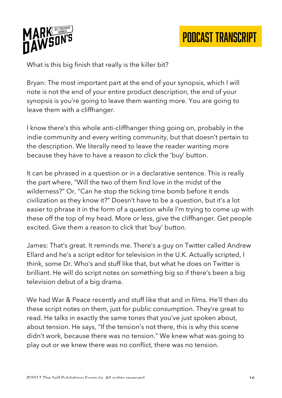

What is this big finish that really is the killer bit?

Bryan: The most important part at the end of your synopsis, which I will note is not the end of your entire product description, the end of your synopsis is you're going to leave them wanting more. You are going to leave them with a cliffhanger.

I know there's this whole anti-cliffhanger thing going on, probably in the indie community and every writing community, but that doesn't pertain to the description. We literally need to leave the reader wanting more because they have to have a reason to click the 'buy' button.

It can be phrased in a question or in a declarative sentence. This is really the part where, "Will the two of them find love in the midst of the wilderness?" Or, "Can he stop the ticking time bomb before it ends civilization as they know it?" Doesn't have to be a question, but it's a lot easier to phrase it in the form of a question while I'm trying to come up with these off the top of my head. More or less, give the cliffhanger. Get people excited. Give them a reason to click that 'buy' button.

James: That's great. It reminds me. There's a guy on Twitter called Andrew Ellard and he's a script editor for television in the U.K. Actually scripted, I think, some Dr. Who's and stuff like that, but what he does on Twitter is brilliant. He will do script notes on something big so if there's been a big television debut of a big drama.

We had War & Peace recently and stuff like that and in films. He'll then do these script notes on them, just for public consumption. They're great to read. He talks in exactly the same tones that you've just spoken about, about tension. He says, "If the tension's not there, this is why this scene didn't work, because there was no tension." We knew what was going to play out or we knew there was no conflict, there was no tension.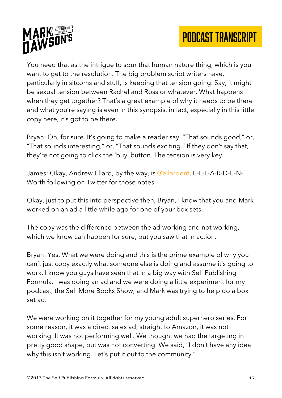



You need that as the intrigue to spur that human nature thing, which is you want to get to the resolution. The big problem script writers have, particularly in sitcoms and stuff, is keeping that tension going. Say, it might be sexual tension between Rachel and Ross or whatever. What happens when they get together? That's a great example of why it needs to be there and what you're saying is even in this synopsis, in fact, especially in this little copy here, it's got to be there.

Bryan: Oh, for sure. It's going to make a reader say, "That sounds good," or, "That sounds interesting," or, "That sounds exciting." If they don't say that, they're not going to click the 'buy' button. The tension is very key.

James: Okay, Andrew Ellard, by the way, is @ellardent, E-L-L-A-R-D-E-N-T. Worth following on Twitter for those notes.

Okay, just to put this into perspective then, Bryan, I know that you and Mark worked on an ad a little while ago for one of your box sets.

The copy was the difference between the ad working and not working, which we know can happen for sure, but you saw that in action.

Bryan: Yes. What we were doing and this is the prime example of why you can't just copy exactly what someone else is doing and assume it's going to work. I know you guys have seen that in a big way with Self Publishing Formula. I was doing an ad and we were doing a little experiment for my podcast, the Sell More Books Show, and Mark was trying to help do a box set ad.

We were working on it together for my young adult superhero series. For some reason, it was a direct sales ad, straight to Amazon, it was not working. It was not performing well. We thought we had the targeting in pretty good shape, but was not converting. We said, "I don't have any idea why this isn't working. Let's put it out to the community."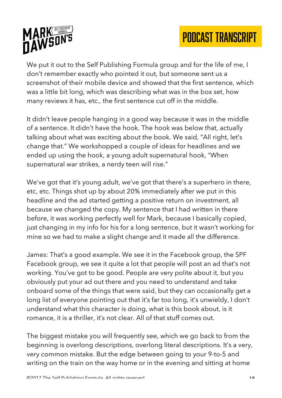



We put it out to the Self Publishing Formula group and for the life of me, I don't remember exactly who pointed it out, but someone sent us a screenshot of their mobile device and showed that the first sentence, which was a little bit long, which was describing what was in the box set, how many reviews it has, etc., the first sentence cut off in the middle.

It didn't leave people hanging in a good way because it was in the middle of a sentence. It didn't have the hook. The hook was below that, actually talking about what was exciting about the book. We said, "All right, let's change that." We workshopped a couple of ideas for headlines and we ended up using the hook, a young adult supernatural hook, "When supernatural war strikes, a nerdy teen will rise."

We've got that it's young adult, we've got that there's a superhero in there, etc, etc. Things shot up by about 20% immediately after we put in this headline and the ad started getting a positive return on investment, all because we changed the copy. My sentence that I had written in there before, it was working perfectly well for Mark, because I basically copied, just changing in my info for his for a long sentence, but it wasn't working for mine so we had to make a slight change and it made all the difference.

James: That's a good example. We see it in the Facebook group, the SPF Facebook group, we see it quite a lot that people will post an ad that's not working. You've got to be good. People are very polite about it, but you obviously put your ad out there and you need to understand and take onboard some of the things that were said, but they can occasionally get a long list of everyone pointing out that it's far too long, it's unwieldy, I don't understand what this character is doing, what is this book about, is it romance, it is a thriller, it's not clear. All of that stuff comes out.

The biggest mistake you will frequently see, which we go back to from the beginning is overlong descriptions, overlong literal descriptions. It's a very, very common mistake. But the edge between going to your 9-to-5 and writing on the train on the way home or in the evening and sitting at home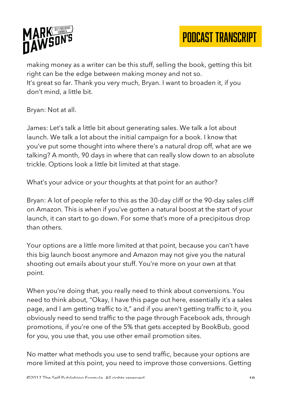

making money as a writer can be this stuff, selling the book, getting this bit right can be the edge between making money and not so. It's great so far. Thank you very much, Bryan. I want to broaden it, if you don't mind, a little bit.

Bryan: Not at all.

James: Let's talk a little bit about generating sales. We talk a lot about launch. We talk a lot about the initial campaign for a book. I know that you've put some thought into where there's a natural drop off, what are we talking? A month, 90 days in where that can really slow down to an absolute trickle. Options look a little bit limited at that stage.

What's your advice or your thoughts at that point for an author?

Bryan: A lot of people refer to this as the 30-day cliff or the 90-day sales cliff on Amazon. This is when if you've gotten a natural boost at the start of your launch, it can start to go down. For some that's more of a precipitous drop than others.

Your options are a little more limited at that point, because you can't have this big launch boost anymore and Amazon may not give you the natural shooting out emails about your stuff. You're more on your own at that point.

When you're doing that, you really need to think about conversions. You need to think about, "Okay, I have this page out here, essentially it's a sales page, and I am getting traffic to it," and if you aren't getting traffic to it, you obviously need to send traffic to the page through Facebook ads, through promotions, if you're one of the 5% that gets accepted by BookBub, good for you, you use that, you use other email promotion sites.

No matter what methods you use to send traffic, because your options are more limited at this point, you need to improve those conversions. Getting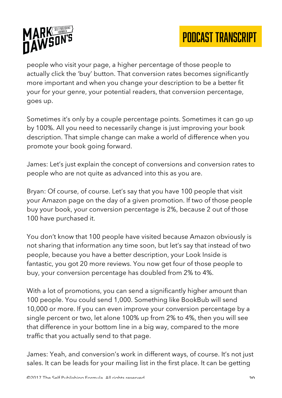

people who visit your page, a higher percentage of those people to actually click the 'buy' button. That conversion rates becomes significantly more important and when you change your description to be a better fit your for your genre, your potential readers, that conversion percentage, goes up.

Sometimes it's only by a couple percentage points. Sometimes it can go up by 100%. All you need to necessarily change is just improving your book description. That simple change can make a world of difference when you promote your book going forward.

James: Let's just explain the concept of conversions and conversion rates to people who are not quite as advanced into this as you are.

Bryan: Of course, of course. Let's say that you have 100 people that visit your Amazon page on the day of a given promotion. If two of those people buy your book, your conversion percentage is 2%, because 2 out of those 100 have purchased it.

You don't know that 100 people have visited because Amazon obviously is not sharing that information any time soon, but let's say that instead of two people, because you have a better description, your Look Inside is fantastic, you got 20 more reviews. You now get four of those people to buy, your conversion percentage has doubled from 2% to 4%.

With a lot of promotions, you can send a significantly higher amount than 100 people. You could send 1,000. Something like BookBub will send 10,000 or more. If you can even improve your conversion percentage by a single percent or two, let alone 100% up from 2% to 4%, then you will see that difference in your bottom line in a big way, compared to the more traffic that you actually send to that page.

James: Yeah, and conversion's work in different ways, of course. It's not just sales. It can be leads for your mailing list in the first place. It can be getting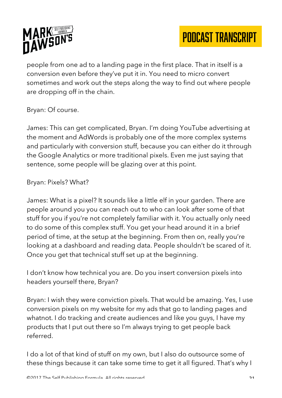

people from one ad to a landing page in the first place. That in itself is a conversion even before they've put it in. You need to micro convert sometimes and work out the steps along the way to find out where people are dropping off in the chain.

Bryan: Of course.

James: This can get complicated, Bryan. I'm doing YouTube advertising at the moment and AdWords is probably one of the more complex systems and particularly with conversion stuff, because you can either do it through the Google Analytics or more traditional pixels. Even me just saying that sentence, some people will be glazing over at this point.

Bryan: Pixels? What?

James: What is a pixel? It sounds like a little elf in your garden. There are people around you you can reach out to who can look after some of that stuff for you if you're not completely familiar with it. You actually only need to do some of this complex stuff. You get your head around it in a brief period of time, at the setup at the beginning. From then on, really you're looking at a dashboard and reading data. People shouldn't be scared of it. Once you get that technical stuff set up at the beginning.

I don't know how technical you are. Do you insert conversion pixels into headers yourself there, Bryan?

Bryan: I wish they were conviction pixels. That would be amazing. Yes, I use conversion pixels on my website for my ads that go to landing pages and whatnot. I do tracking and create audiences and like you guys, I have my products that I put out there so I'm always trying to get people back referred.

I do a lot of that kind of stuff on my own, but I also do outsource some of these things because it can take some time to get it all figured. That's why I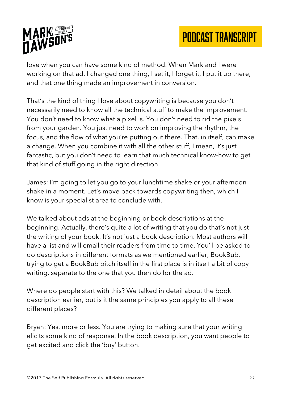

love when you can have some kind of method. When Mark and I were working on that ad, I changed one thing, I set it, I forget it, I put it up there, and that one thing made an improvement in conversion.

That's the kind of thing I love about copywriting is because you don't necessarily need to know all the technical stuff to make the improvement. You don't need to know what a pixel is. You don't need to rid the pixels from your garden. You just need to work on improving the rhythm, the focus, and the flow of what you're putting out there. That, in itself, can make a change. When you combine it with all the other stuff, I mean, it's just fantastic, but you don't need to learn that much technical know-how to get that kind of stuff going in the right direction.

James: I'm going to let you go to your lunchtime shake or your afternoon shake in a moment. Let's move back towards copywriting then, which I know is your specialist area to conclude with.

We talked about ads at the beginning or book descriptions at the beginning. Actually, there's quite a lot of writing that you do that's not just the writing of your book. It's not just a book description. Most authors will have a list and will email their readers from time to time. You'll be asked to do descriptions in different formats as we mentioned earlier, BookBub, trying to get a BookBub pitch itself in the first place is in itself a bit of copy writing, separate to the one that you then do for the ad.

Where do people start with this? We talked in detail about the book description earlier, but is it the same principles you apply to all these different places?

Bryan: Yes, more or less. You are trying to making sure that your writing elicits some kind of response. In the book description, you want people to get excited and click the 'buy' button.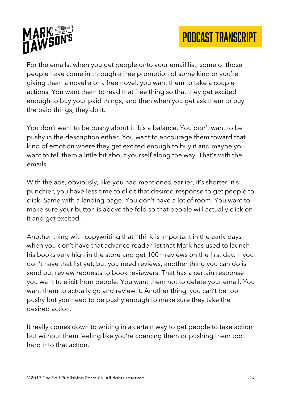

For the emails, when you get people onto your email list, some of those people have come in through a free promotion of some kind or you're giving them a novella or a free novel, you want them to take a couple actions. You want them to read that free thing so that they get excited enough to buy your paid things, and then when you get ask them to buy the paid things, they do it.

You don't want to be pushy about it. It's a balance. You don't want to be pushy in the description either. You want to encourage them toward that kind of emotion where they get excited enough to buy it and maybe you want to tell them a little bit about yourself along the way. That's with the emails.

With the ads, obviously, like you had mentioned earlier, it's shorter, it's punchier, you have less time to elicit that desired response to get people to click. Same with a landing page. You don't have a lot of room. You want to make sure your button is above the fold so that people will actually click on it and get excited.

Another thing with copywriting that I think is important in the early days when you don't have that advance reader list that Mark has used to launch his books very high in the store and get 100+ reviews on the first day. If you don't have that list yet, but you need reviews, another thing you can do is send out review requests to book reviewers. That has a certain response you want to elicit from people. You want them not to delete your email. You want them to actually go and review it. Another thing, you can't be too pushy but you need to be pushy enough to make sure they take the desired action.

It really comes down to writing in a certain way to get people to take action but without them feeling like you're coercing them or pushing them too hard into that action.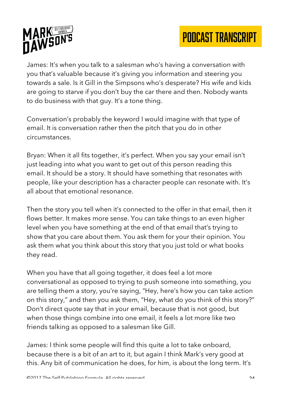

James: It's when you talk to a salesman who's having a conversation with you that's valuable because it's giving you information and steering you towards a sale. Is it Gill in the Simpsons who's desperate? His wife and kids are going to starve if you don't buy the car there and then. Nobody wants to do business with that guy. It's a tone thing.

Conversation's probably the keyword I would imagine with that type of email. It is conversation rather then the pitch that you do in other circumstances.

Bryan: When it all fits together, it's perfect. When you say your email isn't just leading into what you want to get out of this person reading this email. It should be a story. It should have something that resonates with people, like your description has a character people can resonate with. It's all about that emotional resonance.

Then the story you tell when it's connected to the offer in that email, then it flows better. It makes more sense. You can take things to an even higher level when you have something at the end of that email that's trying to show that you care about them. You ask them for your their opinion. You ask them what you think about this story that you just told or what books they read.

When you have that all going together, it does feel a lot more conversational as opposed to trying to push someone into something, you are telling them a story, you're saying, "Hey, here's how you can take action on this story," and then you ask them, "Hey, what do you think of this story?" Don't direct quote say that in your email, because that is not good, but when those things combine into one email, it feels a lot more like two friends talking as opposed to a salesman like Gill.

James: I think some people will find this quite a lot to take onboard, because there is a bit of an art to it, but again I think Mark's very good at this. Any bit of communication he does, for him, is about the long term. It's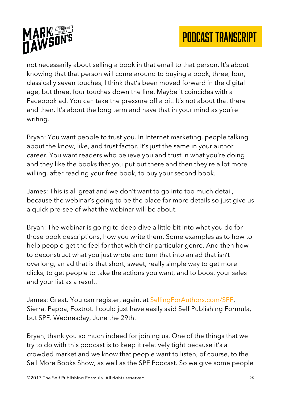



not necessarily about selling a book in that email to that person. It's about knowing that that person will come around to buying a book, three, four, classically seven touches, I think that's been moved forward in the digital age, but three, four touches down the line. Maybe it coincides with a Facebook ad. You can take the pressure off a bit. It's not about that there and then. It's about the long term and have that in your mind as you're writing.

Bryan: You want people to trust you. In Internet marketing, people talking about the know, like, and trust factor. It's just the same in your author career. You want readers who believe you and trust in what you're doing and they like the books that you put out there and then they're a lot more willing, after reading your free book, to buy your second book.

James: This is all great and we don't want to go into too much detail, because the webinar's going to be the place for more details so just give us a quick pre-see of what the webinar will be about.

Bryan: The webinar is going to deep dive a little bit into what you do for those book descriptions, how you write them. Some examples as to how to help people get the feel for that with their particular genre. And then how to deconstruct what you just wrote and turn that into an ad that isn't overlong, an ad that is that short, sweet, really simple way to get more clicks, to get people to take the actions you want, and to boost your sales and your list as a result.

James: Great. You can register, again, at SellingForAuthors.com/SPF, Sierra, Pappa, Foxtrot. I could just have easily said Self Publishing Formula, but SPF. Wednesday, June the 29th.

Bryan, thank you so much indeed for joining us. One of the things that we try to do with this podcast is to keep it relatively tight because it's a crowded market and we know that people want to listen, of course, to the Sell More Books Show, as well as the SPF Podcast. So we give some people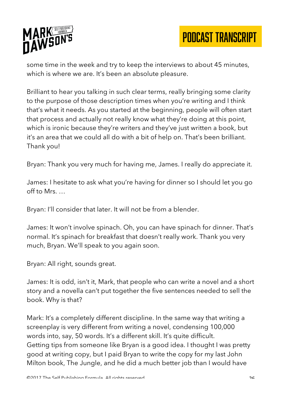

some time in the week and try to keep the interviews to about 45 minutes, which is where we are. It's been an absolute pleasure.

Brilliant to hear you talking in such clear terms, really bringing some clarity to the purpose of those description times when you're writing and I think that's what it needs. As you started at the beginning, people will often start that process and actually not really know what they're doing at this point, which is ironic because they're writers and they've just written a book, but it's an area that we could all do with a bit of help on. That's been brilliant. Thank you!

Bryan: Thank you very much for having me, James. I really do appreciate it.

James: I hesitate to ask what you're having for dinner so I should let you go off to Mrs. …

Bryan: I'll consider that later. It will not be from a blender.

James: It won't involve spinach. Oh, you can have spinach for dinner. That's normal. It's spinach for breakfast that doesn't really work. Thank you very much, Bryan. We'll speak to you again soon.

Bryan: All right, sounds great.

James: It is odd, isn't it, Mark, that people who can write a novel and a short story and a novella can't put together the five sentences needed to sell the book. Why is that?

Mark: It's a completely different discipline. In the same way that writing a screenplay is very different from writing a novel, condensing 100,000 words into, say, 50 words. It's a different skill. It's quite difficult. Getting tips from someone like Bryan is a good idea. I thought I was pretty good at writing copy, but I paid Bryan to write the copy for my last John Milton book, The Jungle, and he did a much better job than I would have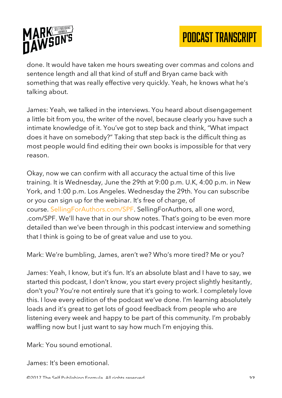

done. It would have taken me hours sweating over commas and colons and sentence length and all that kind of stuff and Bryan came back with something that was really effective very quickly. Yeah, he knows what he's talking about.

James: Yeah, we talked in the interviews. You heard about disengagement a little bit from you, the writer of the novel, because clearly you have such a intimate knowledge of it. You've got to step back and think, "What impact does it have on somebody?" Taking that step back is the difficult thing as most people would find editing their own books is impossible for that very reason.

Okay, now we can confirm with all accuracy the actual time of this live training. It is Wednesday, June the 29th at 9:00 p.m. U.K, 4:00 p.m. in New York, and 1:00 p.m. Los Angeles. Wednesday the 29th. You can subscribe or you can sign up for the webinar. It's free of charge, of course. SellingForAuthors.com/SPF. SellingForAuthors, all one word, .com/SPF. We'll have that in our show notes. That's going to be even more detailed than we've been through in this podcast interview and something that I think is going to be of great value and use to you.

Mark: We're bumbling, James, aren't we? Who's more tired? Me or you?

James: Yeah, I know, but it's fun. It's an absolute blast and I have to say, we started this podcast, I don't know, you start every project slightly hesitantly, don't you? You're not entirely sure that it's going to work. I completely love this. I love every edition of the podcast we've done. I'm learning absolutely loads and it's great to get lots of good feedback from people who are listening every week and happy to be part of this community. I'm probably waffling now but I just want to say how much I'm enjoying this.

Mark: You sound emotional.

James: It's been emotional.